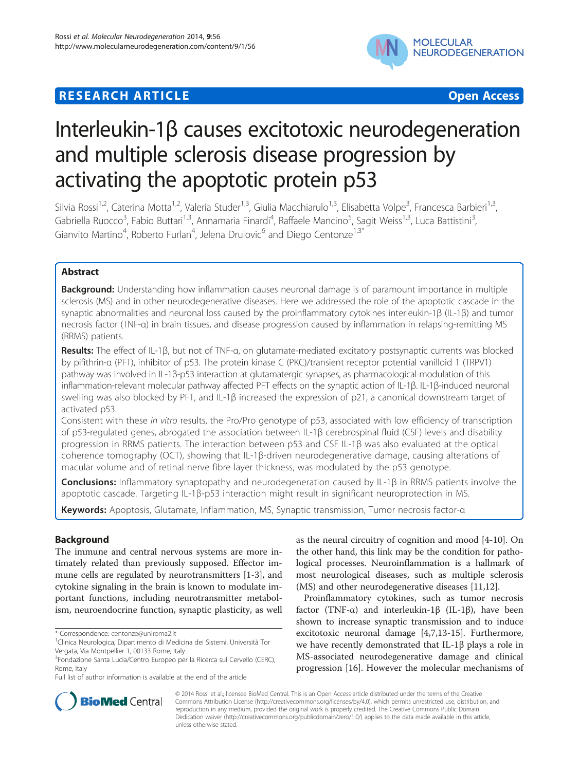## **RESEARCH ARTICLE Example 2018 12:00 Department of the Contract Open Access**



# Interleukin-1β causes excitotoxic neurodegeneration and multiple sclerosis disease progression by activating the apoptotic protein p53

Silvia Rossi<sup>1,2</sup>, Caterina Motta<sup>1,2</sup>, Valeria Studer<sup>1,3</sup>, Giulia Macchiarulo<sup>1,3</sup>, Elisabetta Volpe<sup>3</sup>, Francesca Barbieri<sup>1,3</sup>, Gabriella Ruocco<sup>3</sup>, Fabio Buttari<sup>1,3</sup>, Annamaria Finardi<sup>4</sup>, Raffaele Mancino<sup>5</sup>, Sagit Weiss<sup>1,3</sup>, Luca Battistini<sup>3</sup> , Gianvito Martino<sup>4</sup>, Roberto Furlan<sup>4</sup>, Jelena Drulovic<sup>6</sup> and Diego Centonze<sup>1,3\*</sup>

## Abstract

**Background:** Understanding how inflammation causes neuronal damage is of paramount importance in multiple sclerosis (MS) and in other neurodegenerative diseases. Here we addressed the role of the apoptotic cascade in the synaptic abnormalities and neuronal loss caused by the proinflammatory cytokines interleukin-1β (IL-1β) and tumor necrosis factor (TNF-α) in brain tissues, and disease progression caused by inflammation in relapsing-remitting MS (RRMS) patients.

Results: The effect of IL-1β, but not of TNF-α, on glutamate-mediated excitatory postsynaptic currents was blocked by pifithrin-α (PFT), inhibitor of p53. The protein kinase C (PKC)/transient receptor potential vanilloid 1 (TRPV1) pathway was involved in IL-1β-p53 interaction at glutamatergic synapses, as pharmacological modulation of this inflammation-relevant molecular pathway affected PFT effects on the synaptic action of IL-1β. IL-1β-induced neuronal swelling was also blocked by PFT, and IL-1β increased the expression of p21, a canonical downstream target of activated p53.

Consistent with these in vitro results, the Pro/Pro genotype of p53, associated with low efficiency of transcription of p53-regulated genes, abrogated the association between IL-1β cerebrospinal fluid (CSF) levels and disability progression in RRMS patients. The interaction between p53 and CSF IL-1β was also evaluated at the optical coherence tomography (OCT), showing that IL-1β-driven neurodegenerative damage, causing alterations of macular volume and of retinal nerve fibre layer thickness, was modulated by the p53 genotype.

Conclusions: Inflammatory synaptopathy and neurodegeneration caused by IL-1β in RRMS patients involve the apoptotic cascade. Targeting IL-1β-p53 interaction might result in significant neuroprotection in MS.

Keywords: Apoptosis, Glutamate, Inflammation, MS, Synaptic transmission, Tumor necrosis factor-α

## Background

The immune and central nervous systems are more intimately related than previously supposed. Effector immune cells are regulated by neurotransmitters [[1-3\]](#page-8-0), and cytokine signaling in the brain is known to modulate important functions, including neurotransmitter metabolism, neuroendocrine function, synaptic plasticity, as well

Full list of author information is available at the end of the article

as the neural circuitry of cognition and mood [[4-10](#page-8-0)]. On the other hand, this link may be the condition for pathological processes. Neuroinflammation is a hallmark of most neurological diseases, such as multiple sclerosis (MS) and other neurodegenerative diseases [\[11,12](#page-8-0)].

Proinflammatory cytokines, such as tumor necrosis factor (TNF- $\alpha$ ) and interleukin-1 $\beta$  (IL-1 $\beta$ ), have been shown to increase synaptic transmission and to induce excitotoxic neuronal damage [\[4,7,13](#page-8-0)-[15\]](#page-8-0). Furthermore, we have recently demonstrated that IL-1β plays a role in MS-associated neurodegenerative damage and clinical progression [[16](#page-8-0)]. However the molecular mechanisms of



© 2014 Rossi et al.; licensee BioMed Central. This is an Open Access article distributed under the terms of the Creative Commons Attribution License [\(http://creativecommons.org/licenses/by/4.0\)](http://creativecommons.org/licenses/by/4.0), which permits unrestricted use, distribution, and reproduction in any medium, provided the original work is properly credited. The Creative Commons Public Domain Dedication waiver [\(http://creativecommons.org/publicdomain/zero/1.0/](http://creativecommons.org/publicdomain/zero/1.0/)) applies to the data made available in this article, unless otherwise stated.

<sup>\*</sup> Correspondence: [centonze@uniroma2.it](mailto:centonze@uniroma2.it) <sup>1</sup>

<sup>&</sup>lt;sup>1</sup>Clinica Neurologica, Dipartimento di Medicina dei Sistemi, Università Tor Vergata, Via Montpellier 1, 00133 Rome, Italy

<sup>3</sup> Fondazione Santa Lucia/Centro Europeo per la Ricerca sul Cervello (CERC), Rome, Italy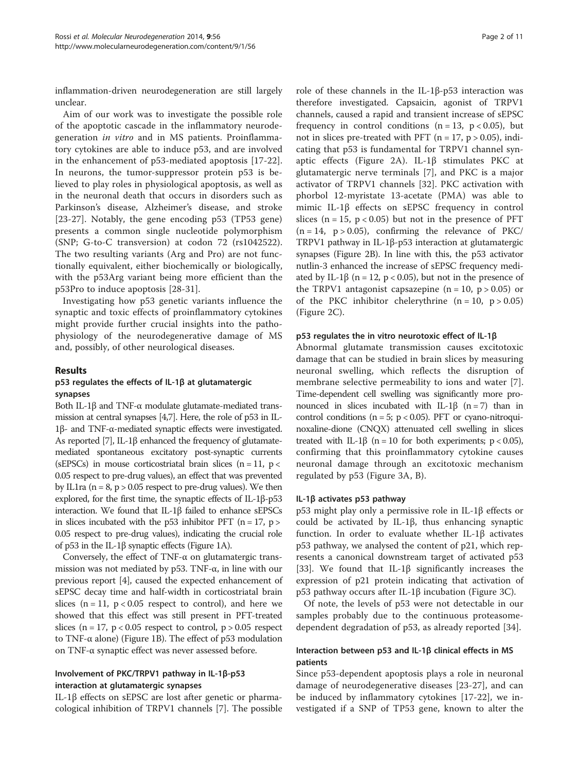inflammation-driven neurodegeneration are still largely unclear.

Aim of our work was to investigate the possible role of the apoptotic cascade in the inflammatory neurodegeneration in vitro and in MS patients. Proinflammatory cytokines are able to induce p53, and are involved in the enhancement of p53-mediated apoptosis [\[17](#page-8-0)[-22](#page-9-0)]. In neurons, the tumor-suppressor protein p53 is believed to play roles in physiological apoptosis, as well as in the neuronal death that occurs in disorders such as Parkinson's disease, Alzheimer's disease, and stroke [[23-27\]](#page-9-0). Notably, the gene encoding p53 (TP53 gene) presents a common single nucleotide polymorphism (SNP; G-to-C transversion) at codon 72 (rs1042522). The two resulting variants (Arg and Pro) are not functionally equivalent, either biochemically or biologically, with the p53Arg variant being more efficient than the p53Pro to induce apoptosis [[28-31\]](#page-9-0).

Investigating how p53 genetic variants influence the synaptic and toxic effects of proinflammatory cytokines might provide further crucial insights into the pathophysiology of the neurodegenerative damage of MS and, possibly, of other neurological diseases.

#### Results

#### p53 regulates the effects of IL-1β at glutamatergic synapses

Both IL-1β and TNF-α modulate glutamate-mediated transmission at central synapses [\[4,7\]](#page-8-0). Here, the role of p53 in IL-1β- and TNF-α-mediated synaptic effects were investigated. As reported [\[7\]](#page-8-0), IL-1β enhanced the frequency of glutamatemediated spontaneous excitatory post-synaptic currents (sEPSCs) in mouse corticostriatal brain slices (n = 11,  $p <$ 0.05 respect to pre-drug values), an effect that was prevented by IL1ra ( $n = 8$ ,  $p > 0.05$  respect to pre-drug values). We then explored, for the first time, the synaptic effects of IL-1β-p53 interaction. We found that IL-1β failed to enhance sEPSCs in slices incubated with the p53 inhibitor PFT ( $n = 17$ ,  $p >$ 0.05 respect to pre-drug values), indicating the crucial role of p53 in the IL-1β synaptic effects (Figure [1](#page-2-0)A).

Conversely, the effect of TNF-α on glutamatergic transmission was not mediated by  $p53$ . TNF- $\alpha$ , in line with our previous report [[4\]](#page-8-0), caused the expected enhancement of sEPSC decay time and half-width in corticostriatal brain slices ( $n = 11$ ,  $p < 0.05$  respect to control), and here we showed that this effect was still present in PFT-treated slices ( $n = 17$ ,  $p < 0.05$  respect to control,  $p > 0.05$  respect to TNF-α alone) (Figure [1](#page-2-0)B). The effect of p53 modulation on TNF-α synaptic effect was never assessed before.

## Involvement of PKC/TRPV1 pathway in IL-1β-p53 interaction at glutamatergic synapses

IL-1β effects on sEPSC are lost after genetic or pharmacological inhibition of TRPV1 channels [\[7](#page-8-0)]. The possible

role of these channels in the IL-1β-p53 interaction was therefore investigated. Capsaicin, agonist of TRPV1 channels, caused a rapid and transient increase of sEPSC frequency in control conditions  $(n = 13, p < 0.05)$ , but not in slices pre-treated with PFT ( $n = 17$ ,  $p > 0.05$ ), indicating that p53 is fundamental for TRPV1 channel synaptic effects (Figure [2A](#page-3-0)). IL-1β stimulates PKC at glutamatergic nerve terminals [[7\]](#page-8-0), and PKC is a major activator of TRPV1 channels [\[32](#page-9-0)]. PKC activation with phorbol 12-myristate 13-acetate (PMA) was able to mimic IL-1β effects on sEPSC frequency in control slices ( $n = 15$ ,  $p < 0.05$ ) but not in the presence of PFT  $(n = 14, p > 0.05)$ , confirming the relevance of PKC/ TRPV1 pathway in IL-1β-p53 interaction at glutamatergic synapses (Figure [2](#page-3-0)B). In line with this, the p53 activator nutlin-3 enhanced the increase of sEPSC frequency mediated by IL-1 $\beta$  (n = 12, p < 0.05), but not in the presence of the TRPV1 antagonist capsazepine ( $n = 10$ ,  $p > 0.05$ ) or of the PKC inhibitor chelerythrine  $(n = 10, p > 0.05)$ (Figure [2](#page-3-0)C).

#### p53 regulates the in vitro neurotoxic effect of IL-1β

Abnormal glutamate transmission causes excitotoxic damage that can be studied in brain slices by measuring neuronal swelling, which reflects the disruption of membrane selective permeability to ions and water [\[7](#page-8-0)]. Time-dependent cell swelling was significantly more pronounced in slices incubated with IL-1β (n = 7) than in control conditions ( $n = 5$ ;  $p < 0.05$ ). PFT or cyano-nitroquinoxaline-dione (CNQX) attenuated cell swelling in slices treated with IL-1 $\beta$  (n = 10 for both experiments; p < 0.05), confirming that this proinflammatory cytokine causes neuronal damage through an excitotoxic mechanism regulated by p53 (Figure [3A](#page-4-0), B).

## IL-1β activates p53 pathway

p53 might play only a permissive role in IL-1β effects or could be activated by IL-1β, thus enhancing synaptic function. In order to evaluate whether IL-1β activates p53 pathway, we analysed the content of p21, which represents a canonical downstream target of activated p53 [[33\]](#page-9-0). We found that IL-1β significantly increases the expression of p21 protein indicating that activation of p53 pathway occurs after IL-1β incubation (Figure [3C](#page-4-0)).

Of note, the levels of p53 were not detectable in our samples probably due to the continuous proteasomedependent degradation of p53, as already reported [[34\]](#page-9-0).

## Interaction between p53 and IL-1β clinical effects in MS patients

Since p53-dependent apoptosis plays a role in neuronal damage of neurodegenerative diseases [\[23](#page-9-0)-[27](#page-9-0)], and can be induced by inflammatory cytokines [\[17](#page-8-0)[-22](#page-9-0)], we investigated if a SNP of TP53 gene, known to alter the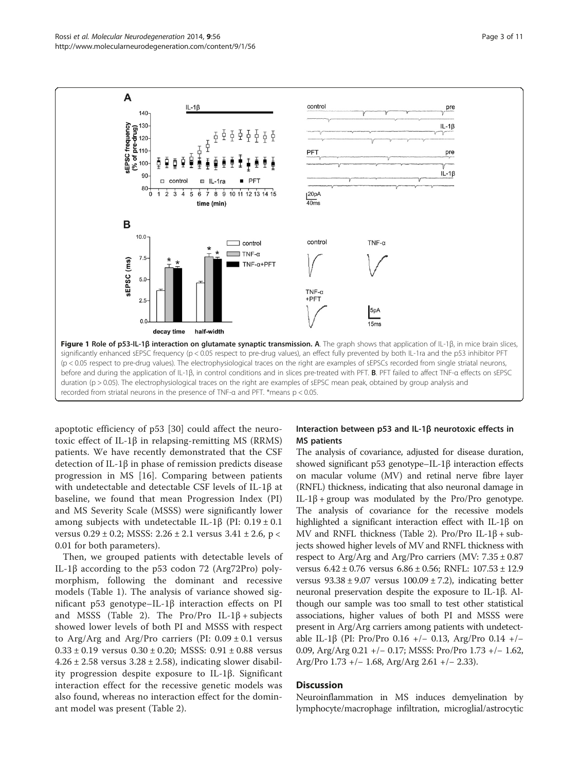<span id="page-2-0"></span>

apoptotic efficiency of p53 [[30](#page-9-0)] could affect the neurotoxic effect of IL-1β in relapsing-remitting MS (RRMS) patients. We have recently demonstrated that the CSF detection of IL-1β in phase of remission predicts disease progression in MS [[16\]](#page-8-0). Comparing between patients with undetectable and detectable CSF levels of IL-1β at baseline, we found that mean Progression Index (PI) and MS Severity Scale (MSSS) were significantly lower among subjects with undetectable IL-1 $\beta$  (PI: 0.19 ± 0.1 versus  $0.29 \pm 0.2$ ; MSSS:  $2.26 \pm 2.1$  versus  $3.41 \pm 2.6$ , p < 0.01 for both parameters).

Then, we grouped patients with detectable levels of IL-1β according to the p53 codon 72 (Arg72Pro) polymorphism, following the dominant and recessive models (Table [1\)](#page-5-0). The analysis of variance showed significant p53 genotype–IL-1β interaction effects on PI and MSSS (Table [2\)](#page-5-0). The Pro/Pro IL-1 $\beta$  + subjects showed lower levels of both PI and MSSS with respect to Arg/Arg and Arg/Pro carriers (PI:  $0.09 \pm 0.1$  versus  $0.33 \pm 0.19$  versus  $0.30 \pm 0.20$ ; MSSS:  $0.91 \pm 0.88$  versus  $4.26 \pm 2.58$  versus  $3.28 \pm 2.58$ ), indicating slower disability progression despite exposure to IL-1β. Significant interaction effect for the recessive genetic models was also found, whereas no interaction effect for the dominant model was present (Table [2](#page-5-0)).

## Interaction between p53 and IL-1β neurotoxic effects in MS patients

The analysis of covariance, adjusted for disease duration, showed significant p53 genotype–IL-1β interaction effects on macular volume (MV) and retinal nerve fibre layer (RNFL) thickness, indicating that also neuronal damage in IL-1 $\beta$  + group was modulated by the Pro/Pro genotype. The analysis of covariance for the recessive models highlighted a significant interaction effect with IL-1β on MV and RNFL thickness (Table [2](#page-5-0)). Pro/Pro IL-1β + subjects showed higher levels of MV and RNFL thickness with respect to Arg/Arg and Arg/Pro carriers (MV:  $7.35 \pm 0.87$ ) versus 6.42 ± 0.76 versus 6.86 ± 0.56; RNFL: 107.53 ± 12.9 versus  $93.38 \pm 9.07$  versus  $100.09 \pm 7.2$ ), indicating better neuronal preservation despite the exposure to IL-1β. Although our sample was too small to test other statistical associations, higher values of both PI and MSSS were present in Arg/Arg carriers among patients with undetectable IL-1β (PI: Pro/Pro 0.16 +/− 0.13, Arg/Pro 0.14 +/− 0.09, Arg/Arg 0.21 +/− 0.17; MSSS: Pro/Pro 1.73 +/− 1.62, Arg/Pro 1.73 +/− 1.68, Arg/Arg 2.61 +/− 2.33).

## Discussion

Neuroinflammation in MS induces demyelination by lymphocyte/macrophage infiltration, microglial/astrocytic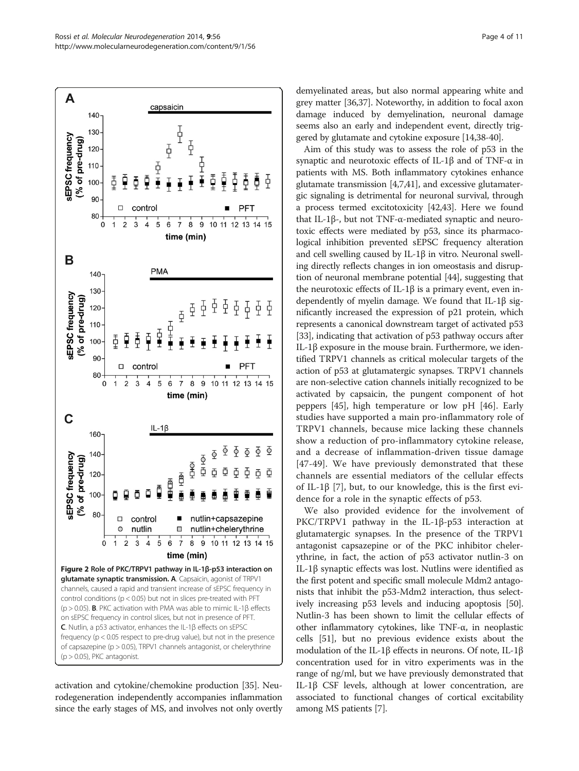<span id="page-3-0"></span>

activation and cytokine/chemokine production [\[35\]](#page-9-0). Neurodegeneration independently accompanies inflammation since the early stages of MS, and involves not only overtly demyelinated areas, but also normal appearing white and grey matter [\[36,37](#page-9-0)]. Noteworthy, in addition to focal axon damage induced by demyelination, neuronal damage seems also an early and independent event, directly triggered by glutamate and cytokine exposure [\[14](#page-8-0)[,38-40\]](#page-9-0).

Aim of this study was to assess the role of p53 in the synaptic and neurotoxic effects of IL-1β and of TNF-α in patients with MS. Both inflammatory cytokines enhance glutamate transmission [[4,7,](#page-8-0)[41](#page-9-0)], and excessive glutamatergic signaling is detrimental for neuronal survival, through a process termed excitotoxicity [\[42,43](#page-9-0)]. Here we found that IL-1β-, but not TNF-α-mediated synaptic and neurotoxic effects were mediated by p53, since its pharmacological inhibition prevented sEPSC frequency alteration and cell swelling caused by IL-1β in vitro. Neuronal swelling directly reflects changes in ion omeostasis and disruption of neuronal membrane potential [\[44\]](#page-9-0), suggesting that the neurotoxic effects of IL-1β is a primary event, even independently of myelin damage. We found that IL-1β significantly increased the expression of p21 protein, which represents a canonical downstream target of activated p53 [[33](#page-9-0)], indicating that activation of p53 pathway occurs after IL-1β exposure in the mouse brain. Furthermore, we identified TRPV1 channels as critical molecular targets of the action of p53 at glutamatergic synapses. TRPV1 channels are non-selective cation channels initially recognized to be activated by capsaicin, the pungent component of hot peppers [[45](#page-9-0)], high temperature or low pH [\[46](#page-9-0)]. Early studies have supported a main pro-inflammatory role of TRPV1 channels, because mice lacking these channels show a reduction of pro-inflammatory cytokine release, and a decrease of inflammation-driven tissue damage [[47-49\]](#page-9-0). We have previously demonstrated that these channels are essential mediators of the cellular effects of IL-1β [[7\]](#page-8-0), but, to our knowledge, this is the first evidence for a role in the synaptic effects of p53.

We also provided evidence for the involvement of PKC/TRPV1 pathway in the IL-1β-p53 interaction at glutamatergic synapses. In the presence of the TRPV1 antagonist capsazepine or of the PKC inhibitor chelerythrine, in fact, the action of p53 activator nutlin-3 on IL-1β synaptic effects was lost. Nutlins were identified as the first potent and specific small molecule Mdm2 antagonists that inhibit the p53-Mdm2 interaction, thus selectively increasing p53 levels and inducing apoptosis [[50](#page-9-0)]. Nutlin-3 has been shown to limit the cellular effects of other inflammatory cytokines, like TNF-α, in neoplastic cells [\[51\]](#page-9-0), but no previous evidence exists about the modulation of the IL-1β effects in neurons. Of note, IL-1β concentration used for in vitro experiments was in the range of ng/ml, but we have previously demonstrated that IL-1β CSF levels, although at lower concentration, are associated to functional changes of cortical excitability among MS patients [[7](#page-8-0)].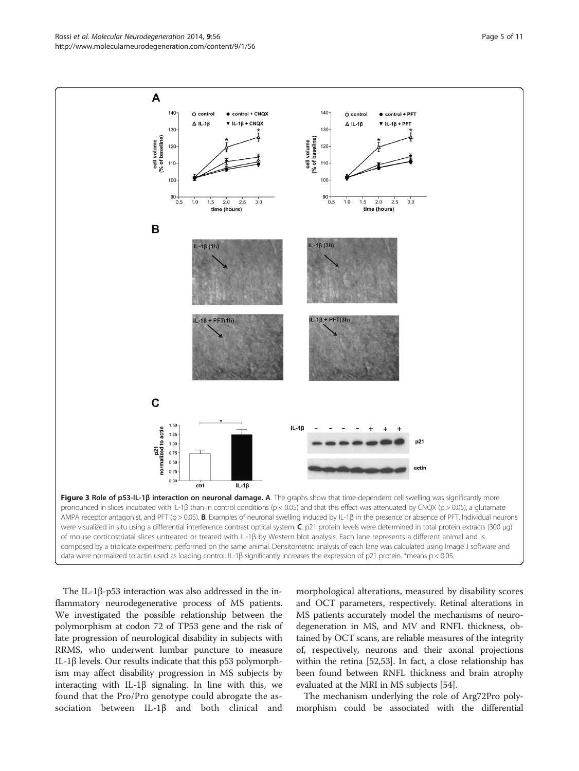<span id="page-4-0"></span>Rossi et al. Molecular Neurodegeneration 2014, 9:56 Page 5 of 11 http://www.molecularneurodegeneration.com/content/9/1/56



The IL-1β-p53 interaction was also addressed in the inflammatory neurodegenerative process of MS patients. We investigated the possible relationship between the polymorphism at codon 72 of TP53 gene and the risk of late progression of neurological disability in subjects with RRMS, who underwent lumbar puncture to measure IL-1β levels. Our results indicate that this p53 polymorphism may affect disability progression in MS subjects by interacting with IL-1β signaling. In line with this, we found that the Pro/Pro genotype could abrogate the association between IL-1β and both clinical and

morphological alterations, measured by disability scores and OCT parameters, respectively. Retinal alterations in MS patients accurately model the mechanisms of neurodegeneration in MS, and MV and RNFL thickness, obtained by OCT scans, are reliable measures of the integrity of, respectively, neurons and their axonal projections within the retina [\[52,53](#page-9-0)]. In fact, a close relationship has been found between RNFL thickness and brain atrophy evaluated at the MRI in MS subjects [[54](#page-9-0)].

The mechanism underlying the role of Arg72Pro polymorphism could be associated with the differential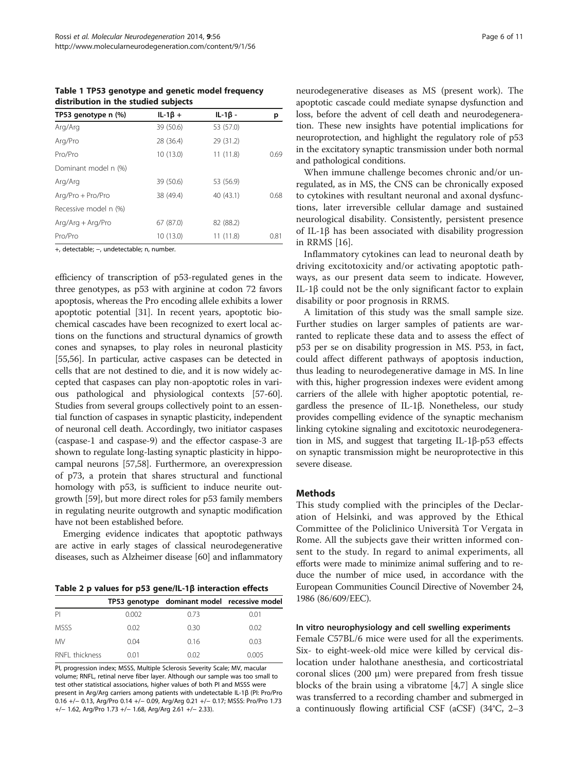<span id="page-5-0"></span>Table 1 TP53 genotype and genetic model frequency distribution in the studied subjects

| TP53 genotype n (%)   | $IL-1\beta +$ | IL-1β -   | р    |
|-----------------------|---------------|-----------|------|
| Arg/Arg               | 39 (50.6)     | 53 (57.0) |      |
| Arg/Pro               | 28 (36.4)     | 29 (31.2) |      |
| Pro/Pro               | 10(13.0)      | 11(11.8)  | 0.69 |
| Dominant model n (%)  |               |           |      |
| Arg/Arg               | 39 (50.6)     | 53 (56.9) |      |
| Arg/Pro + Pro/Pro     | 38 (49.4)     | 40(43.1)  | 0.68 |
| Recessive model n (%) |               |           |      |
| Arg/Arg + Arg/Pro     | 67 (87.0)     | 82 (88.2) |      |
| Pro/Pro               | 10 (13.0)     | 11 (11.8) | 0.81 |

+, detectable; −, undetectable; n, number.

efficiency of transcription of p53-regulated genes in the three genotypes, as p53 with arginine at codon 72 favors apoptosis, whereas the Pro encoding allele exhibits a lower apoptotic potential [\[31\]](#page-9-0). In recent years, apoptotic biochemical cascades have been recognized to exert local actions on the functions and structural dynamics of growth cones and synapses, to play roles in neuronal plasticity [[55,56](#page-9-0)]. In particular, active caspases can be detected in cells that are not destined to die, and it is now widely accepted that caspases can play non-apoptotic roles in various pathological and physiological contexts [[57](#page-9-0)-[60](#page-9-0)]. Studies from several groups collectively point to an essential function of caspases in synaptic plasticity, independent of neuronal cell death. Accordingly, two initiator caspases (caspase-1 and caspase-9) and the effector caspase-3 are shown to regulate long-lasting synaptic plasticity in hippocampal neurons [\[57,58\]](#page-9-0). Furthermore, an overexpression of p73, a protein that shares structural and functional homology with p53, is sufficient to induce neurite outgrowth [[59](#page-9-0)], but more direct roles for p53 family members in regulating neurite outgrowth and synaptic modification have not been established before.

Emerging evidence indicates that apoptotic pathways are active in early stages of classical neurodegenerative diseases, such as Alzheimer disease [[60](#page-9-0)] and inflammatory

Table 2 p values for p53 gene/IL-1β interaction effects

|                |       | TP53 genotype dominant model recessive model |       |
|----------------|-------|----------------------------------------------|-------|
| P              | 0.002 | 0.73                                         | 0.01  |
| <b>MSSS</b>    | 0.02  | 0.30                                         | 0.02  |
| MV             | 0.04  | 0.16                                         | 0.03  |
| RNFL thickness | 001   | 0.02                                         | 0.005 |

PI, progression index; MSSS, Multiple Sclerosis Severity Scale; MV, macular volume; RNFL, retinal nerve fiber layer. Although our sample was too small to test other statistical associations, higher values of both PI and MSSS were present in Arg/Arg carriers among patients with undetectable IL-1β (PI: Pro/Pro 0.16 +/− 0.13, Arg/Pro 0.14 +/− 0.09, Arg/Arg 0.21 +/− 0.17; MSSS: Pro/Pro 1.73 +/− 1.62, Arg/Pro 1.73 +/− 1.68, Arg/Arg 2.61 +/− 2.33).

neurodegenerative diseases as MS (present work). The apoptotic cascade could mediate synapse dysfunction and loss, before the advent of cell death and neurodegeneration. These new insights have potential implications for neuroprotection, and highlight the regulatory role of p53 in the excitatory synaptic transmission under both normal and pathological conditions.

When immune challenge becomes chronic and/or unregulated, as in MS, the CNS can be chronically exposed to cytokines with resultant neuronal and axonal dysfunctions, later irreversible cellular damage and sustained neurological disability. Consistently, persistent presence of IL-1β has been associated with disability progression in RRMS [\[16\]](#page-8-0).

Inflammatory cytokines can lead to neuronal death by driving excitotoxicity and/or activating apoptotic pathways, as our present data seem to indicate. However, IL-1β could not be the only significant factor to explain disability or poor prognosis in RRMS.

A limitation of this study was the small sample size. Further studies on larger samples of patients are warranted to replicate these data and to assess the effect of p53 per se on disability progression in MS. P53, in fact, could affect different pathways of apoptosis induction, thus leading to neurodegenerative damage in MS. In line with this, higher progression indexes were evident among carriers of the allele with higher apoptotic potential, regardless the presence of IL-1β. Nonetheless, our study provides compelling evidence of the synaptic mechanism linking cytokine signaling and excitotoxic neurodegeneration in MS, and suggest that targeting IL-1β-p53 effects on synaptic transmission might be neuroprotective in this severe disease.

#### **Methods**

This study complied with the principles of the Declaration of Helsinki, and was approved by the Ethical Committee of the Policlinico Università Tor Vergata in Rome. All the subjects gave their written informed consent to the study. In regard to animal experiments, all efforts were made to minimize animal suffering and to reduce the number of mice used, in accordance with the European Communities Council Directive of November 24, 1986 (86/609/EEC).

#### In vitro neurophysiology and cell swelling experiments

Female C57BL/6 mice were used for all the experiments. Six- to eight-week-old mice were killed by cervical dislocation under halothane anesthesia, and corticostriatal coronal slices (200 μm) were prepared from fresh tissue blocks of the brain using a vibratome [[4,7\]](#page-8-0) A single slice was transferred to a recording chamber and submerged in a continuously flowing artificial CSF (aCSF) (34°C, 2–3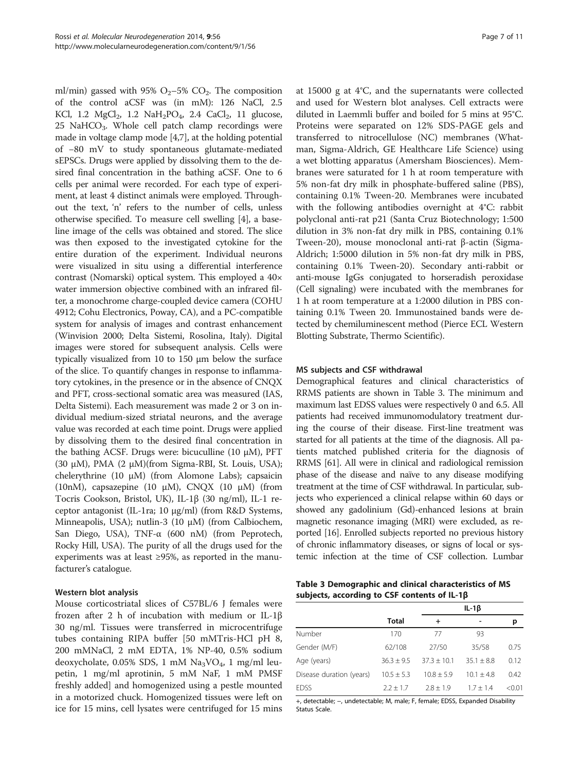<span id="page-6-0"></span>ml/min) gassed with 95%  $O<sub>2</sub>$ –5%  $CO<sub>2</sub>$ . The composition of the control aCSF was (in mM): 126 NaCl, 2.5 KCl, 1.2  $MgCl_2$ , 1.2  $NaH_2PO_4$ , 2.4  $CaCl_2$ , 11 glucose, 25 NaHCO<sub>3</sub>. Whole cell patch clamp recordings were made in voltage clamp mode [[4](#page-8-0),[7](#page-8-0)], at the holding potential of −80 mV to study spontaneous glutamate-mediated sEPSCs. Drugs were applied by dissolving them to the desired final concentration in the bathing aCSF. One to 6 cells per animal were recorded. For each type of experiment, at least 4 distinct animals were employed. Throughout the text, 'n' refers to the number of cells, unless otherwise specified. To measure cell swelling [\[4\]](#page-8-0), a baseline image of the cells was obtained and stored. The slice was then exposed to the investigated cytokine for the entire duration of the experiment. Individual neurons were visualized in situ using a differential interference contrast (Nomarski) optical system. This employed a 40× water immersion objective combined with an infrared filter, a monochrome charge-coupled device camera (COHU 4912; Cohu Electronics, Poway, CA), and a PC-compatible system for analysis of images and contrast enhancement (Winvision 2000; Delta Sistemi, Rosolina, Italy). Digital images were stored for subsequent analysis. Cells were typically visualized from 10 to 150 μm below the surface of the slice. To quantify changes in response to inflammatory cytokines, in the presence or in the absence of CNQX and PFT, cross-sectional somatic area was measured (IAS, Delta Sistemi). Each measurement was made 2 or 3 on individual medium-sized striatal neurons, and the average value was recorded at each time point. Drugs were applied by dissolving them to the desired final concentration in the bathing ACSF. Drugs were: bicuculline (10 μM), PFT (30 μM), PMA (2 μM)(from Sigma-RBI, St. Louis, USA); chelerythrine (10 μM) (from Alomone Labs); capsaicin (10nM), capsazepine (10  $\mu$ M), CNQX (10  $\mu$ M) (from Tocris Cookson, Bristol, UK), IL-1β (30 ng/ml), IL-1 receptor antagonist (IL-1ra; 10 μg/ml) (from R&D Systems, Minneapolis, USA); nutlin-3 (10 μM) (from Calbiochem, San Diego, USA), TNF-α (600 nM) (from Peprotech, Rocky Hill, USA). The purity of all the drugs used for the experiments was at least ≥95%, as reported in the manufacturer's catalogue.

#### Western blot analysis

Mouse corticostriatal slices of C57BL/6 J females were frozen after 2 h of incubation with medium or IL-1β 30 ng/ml. Tissues were transferred in microcentrifuge tubes containing RIPA buffer [50 mMTris-HCl pH 8, 200 mMNaCl, 2 mM EDTA, 1% NP-40, 0.5% sodium deoxycholate,  $0.05\%$  SDS, 1 mM Na<sub>3</sub>VO<sub>4</sub>, 1 mg/ml leupetin, 1 mg/ml aprotinin, 5 mM NaF, 1 mM PMSF freshly added] and homogenized using a pestle mounted in a motorized chuck. Homogenized tissues were left on ice for 15 mins, cell lysates were centrifuged for 15 mins at 15000 g at 4°C, and the supernatants were collected and used for Western blot analyses. Cell extracts were diluted in Laemmli buffer and boiled for 5 mins at 95°C. Proteins were separated on 12% SDS-PAGE gels and transferred to nitrocellulose (NC) membranes (Whatman, Sigma-Aldrich, GE Healthcare Life Science) using a wet blotting apparatus (Amersham Biosciences). Membranes were saturated for 1 h at room temperature with 5% non-fat dry milk in phosphate-buffered saline (PBS), containing 0.1% Tween-20. Membranes were incubated with the following antibodies overnight at 4°C: rabbit polyclonal anti-rat p21 (Santa Cruz Biotechnology; 1:500 dilution in 3% non-fat dry milk in PBS, containing 0.1% Tween-20), mouse monoclonal anti-rat β-actin (Sigma-Aldrich; 1:5000 dilution in 5% non-fat dry milk in PBS, containing 0.1% Tween-20). Secondary anti-rabbit or anti-mouse IgGs conjugated to horseradish peroxidase (Cell signaling) were incubated with the membranes for 1 h at room temperature at a 1:2000 dilution in PBS containing 0.1% Tween 20. Immunostained bands were detected by chemiluminescent method (Pierce ECL Western Blotting Substrate, Thermo Scientific).

#### MS subjects and CSF withdrawal

Demographical features and clinical characteristics of RRMS patients are shown in Table 3. The minimum and maximum last EDSS values were respectively 0 and 6.5. All patients had received immunomodulatory treatment during the course of their disease. First-line treatment was started for all patients at the time of the diagnosis. All patients matched published criteria for the diagnosis of RRMS [[61](#page-9-0)]. All were in clinical and radiological remission phase of the disease and naïve to any disease modifying treatment at the time of CSF withdrawal. In particular, subjects who experienced a clinical relapse within 60 days or showed any gadolinium (Gd)-enhanced lesions at brain magnetic resonance imaging (MRI) were excluded, as reported [[16](#page-8-0)]. Enrolled subjects reported no previous history of chronic inflammatory diseases, or signs of local or systemic infection at the time of CSF collection. Lumbar

| Table 3 Demographic and clinical characteristics of MS |  |
|--------------------------------------------------------|--|
| subjects, according to CSF contents of IL-1 $\beta$    |  |

|                          |                |               | IL-1 $\beta$ |        |  |
|--------------------------|----------------|---------------|--------------|--------|--|
|                          | <b>Total</b>   | $\ddot{}$     |              | р      |  |
| Number                   | 170            | 77            | 93           |        |  |
| Gender (M/F)             | 62/108         | 27/50         | 35/58        | 0.75   |  |
| Age (years)              | $36.3 + 9.5$   | $37.3 + 10.1$ | $35.1 + 8.8$ | 0.12   |  |
| Disease duration (years) | $10.5 \pm 5.3$ | $10.8 + 5.9$  | $10.1 + 4.8$ | 0.42   |  |
| <b>EDSS</b>              | $2.2 + 1.7$    | $7.8 + 1.9$   | $1.7 + 1.4$  | < 0.01 |  |

+, detectable; −, undetectable; M, male; F, female; EDSS, Expanded Disability Status Scale.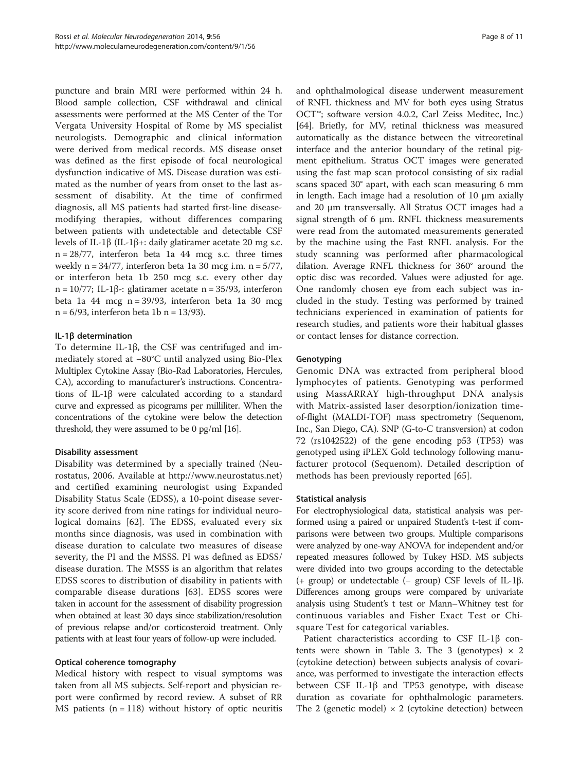puncture and brain MRI were performed within 24 h. Blood sample collection, CSF withdrawal and clinical assessments were performed at the MS Center of the Tor Vergata University Hospital of Rome by MS specialist neurologists. Demographic and clinical information were derived from medical records. MS disease onset was defined as the first episode of focal neurological dysfunction indicative of MS. Disease duration was estimated as the number of years from onset to the last assessment of disability. At the time of confirmed diagnosis, all MS patients had started first-line diseasemodifying therapies, without differences comparing between patients with undetectable and detectable CSF levels of IL-1β (IL-1β+: daily glatiramer acetate 20 mg s.c.  $n = 28/77$ , interferon beta 1a 44 mcg s.c. three times weekly  $n = 34/77$ , interferon beta 1a 30 mcg i.m.  $n = 5/77$ , or interferon beta 1b 250 mcg s.c. every other day n = 10/77; IL-1β-: glatiramer acetate n = 35/93, interferon beta 1a 44 mcg n = 39/93, interferon beta 1a 30 mcg n = 6/93, interferon beta 1b n = 13/93).

## IL-1β determination

To determine IL-1β, the CSF was centrifuged and immediately stored at −80°C until analyzed using Bio-Plex Multiplex Cytokine Assay (Bio-Rad Laboratories, Hercules, CA), according to manufacturer's instructions. Concentrations of IL-1β were calculated according to a standard curve and expressed as picograms per milliliter. When the concentrations of the cytokine were below the detection threshold, they were assumed to be 0 pg/ml [[16](#page-8-0)].

#### Disability assessment

Disability was determined by a specially trained (Neurostatus, 2006. Available at<http://www.neurostatus.net>) and certified examining neurologist using Expanded Disability Status Scale (EDSS), a 10-point disease severity score derived from nine ratings for individual neurological domains [\[62](#page-9-0)]. The EDSS, evaluated every six months since diagnosis, was used in combination with disease duration to calculate two measures of disease severity, the PI and the MSSS. PI was defined as EDSS/ disease duration. The MSSS is an algorithm that relates EDSS scores to distribution of disability in patients with comparable disease durations [[63\]](#page-9-0). EDSS scores were taken in account for the assessment of disability progression when obtained at least 30 days since stabilization/resolution of previous relapse and/or corticosteroid treatment. Only patients with at least four years of follow-up were included.

## Optical coherence tomography

Medical history with respect to visual symptoms was taken from all MS subjects. Self-report and physician report were confirmed by record review. A subset of RR  $MS$  patients (n = 118) without history of optic neuritis and ophthalmological disease underwent measurement of RNFL thickness and MV for both eyes using Stratus OCT™; software version 4.0.2, Carl Zeiss Meditec, Inc.) [[64\]](#page-10-0). Briefly, for MV, retinal thickness was measured automatically as the distance between the vitreoretinal interface and the anterior boundary of the retinal pigment epithelium. Stratus OCT images were generated using the fast map scan protocol consisting of six radial scans spaced 30° apart, with each scan measuring 6 mm in length. Each image had a resolution of 10 μm axially and 20 μm transversally. All Stratus OCT images had a signal strength of 6 μm. RNFL thickness measurements were read from the automated measurements generated by the machine using the Fast RNFL analysis. For the study scanning was performed after pharmacological dilation. Average RNFL thickness for 360° around the optic disc was recorded. Values were adjusted for age. One randomly chosen eye from each subject was included in the study. Testing was performed by trained technicians experienced in examination of patients for research studies, and patients wore their habitual glasses or contact lenses for distance correction.

#### **Genotyping**

Genomic DNA was extracted from peripheral blood lymphocytes of patients. Genotyping was performed using MassARRAY high-throughput DNA analysis with Matrix-assisted laser desorption/ionization timeof-flight (MALDI-TOF) mass spectrometry (Sequenom, Inc., San Diego, CA). SNP (G-to-C transversion) at codon 72 (rs1042522) of the gene encoding p53 (TP53) was genotyped using iPLEX Gold technology following manufacturer protocol (Sequenom). Detailed description of methods has been previously reported [\[65](#page-10-0)].

## Statistical analysis

For electrophysiological data, statistical analysis was performed using a paired or unpaired Student's t-test if comparisons were between two groups. Multiple comparisons were analyzed by one-way ANOVA for independent and/or repeated measures followed by Tukey HSD. MS subjects were divided into two groups according to the detectable (+ group) or undetectable (− group) CSF levels of IL-1β. Differences among groups were compared by univariate analysis using Student's t test or Mann–Whitney test for continuous variables and Fisher Exact Test or Chisquare Test for categorical variables.

Patient characteristics according to CSF IL-1β con-tents were shown in Table [3.](#page-6-0) The 3 (genotypes)  $\times$  2 (cytokine detection) between subjects analysis of covariance, was performed to investigate the interaction effects between CSF IL-1β and TP53 genotype, with disease duration as covariate for ophthalmologic parameters. The 2 (genetic model)  $\times$  2 (cytokine detection) between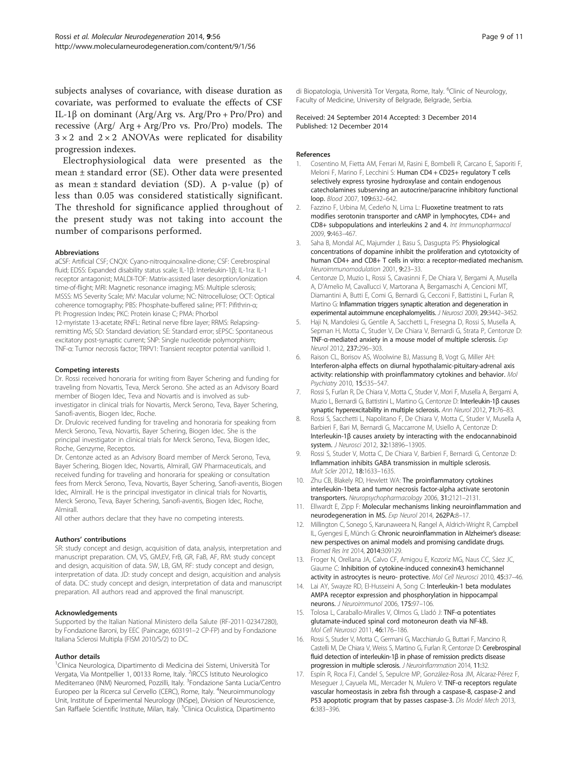<span id="page-8-0"></span>subjects analyses of covariance, with disease duration as covariate, was performed to evaluate the effects of CSF IL-1β on dominant (Arg/Arg vs. Arg/Pro + Pro/Pro) and recessive (Arg/ Arg + Arg/Pro vs. Pro/Pro) models. The  $3 \times 2$  and  $2 \times 2$  ANOVAs were replicated for disability progression indexes.

Electrophysiological data were presented as the mean ± standard error (SE). Other data were presented as mean  $\pm$  standard deviation (SD). A p-value (p) of less than 0.05 was considered statistically significant. The threshold for significance applied throughout of the present study was not taking into account the number of comparisons performed.

#### Abbreviations

aCSF: Artificial CSF; CNQX: Cyano-nitroquinoxaline-dione; CSF: Cerebrospinal fluid; EDSS: Expanded disability status scale; IL-1β: Interleukin-1β; IL-1ra: IL-1 receptor antagonist; MALDI-TOF: Matrix-assisted laser desorption/ionization time-of-flight; MRI: Magnetic resonance imaging; MS: Multiple sclerosis; MSSS: MS Severity Scale; MV: Macular volume; NC: Nitrocellulose; OCT: Optical coherence tomography; PBS: Phosphate-buffered saline; PFT: Pifithrin-α; PI: Progression Index; PKC: Protein kinase C; PMA: Phorbol 12-myristate 13-acetate; RNFL: Retinal nerve fibre layer; RRMS: Relapsingremitting MS; SD: Standard deviation; SE: Standard error; sEPSC: Spontaneous excitatory post-synaptic current; SNP: Single nucleotide polymorphism; TNF-α: Tumor necrosis factor; TRPV1: Transient receptor potential vanilloid 1.

#### Competing interests

Dr. Rossi received honoraria for writing from Bayer Schering and funding for traveling from Novartis, Teva, Merck Serono. She acted as an Advisory Board member of Biogen Idec, Teva and Novartis and is involved as subinvestigator in clinical trials for Novartis, Merck Serono, Teva, Bayer Schering, Sanofi-aventis, Biogen Idec, Roche.

Dr. Drulovic received funding for traveling and honoraria for speaking from Merck Serono, Teva, Novartis, Bayer Schering, Biogen Idec. She is the principal investigator in clinical trials for Merck Serono, Teva, Biogen Idec, Roche, Genzyme, Receptos.

Dr. Centonze acted as an Advisory Board member of Merck Serono, Teva, Bayer Schering, Biogen Idec, Novartis, Almirall, GW Pharmaceuticals, and received funding for traveling and honoraria for speaking or consultation fees from Merck Serono, Teva, Novartis, Bayer Schering, Sanofi-aventis, Biogen Idec, Almirall. He is the principal investigator in clinical trials for Novartis, Merck Serono, Teva, Bayer Schering, Sanofi-aventis, Biogen Idec, Roche, Almirall.

All other authors declare that they have no competing interests.

#### Authors' contributions

SR: study concept and design, acquisition of data, analysis, interpretation and manuscript preparation. CM, VS, GM,EV, FrB, GR, FaB, AF, RM: study concept and design, acquisition of data. SW, LB, GM, RF: study concept and design, interpretation of data. JD: study concept and design, acquisition and analysis of data. DC: study concept and design, interpretation of data and manuscript preparation. All authors read and approved the final manuscript.

#### Acknowledgements

Supported by the Italian National Ministero della Salute (RF-2011-02347280), by Fondazione Baroni, by EEC (Paincage, 603191–2 CP-FP) and by Fondazione Italiana Sclerosi Multipla (FISM 2010/S/2) to DC.

#### Author details

1 Clinica Neurologica, Dipartimento di Medicina dei Sistemi, Università Tor Vergata, Via Montpellier 1, 00133 Rome, Italy. <sup>2</sup>IRCCS Istituto Neurologico Mediterraneo (INM) Neuromed, Pozzilli, Italy. <sup>3</sup>Fondazione Santa Lucia/Centro Europeo per la Ricerca sul Cervello (CERC), Rome, Italy. <sup>4</sup>Neuroimmunology Unit, Institute of Experimental Neurology (INSpe), Division of Neuroscience, San Raffaele Scientific Institute, Milan, Italy. <sup>5</sup>Clinica Oculistica, Dipartimento

#### Received: 24 September 2014 Accepted: 3 December 2014 Published: 12 December 2014

#### References

- Cosentino M, Fietta AM, Ferrari M, Rasini E, Bombelli R, Carcano E, Saporiti F, Meloni F, Marino F, Lecchini S: Human CD4 + CD25+ regulatory T cells selectively express tyrosine hydroxylase and contain endogenous catecholamines subserving an autocrine/paracrine inhibitory functional loop. Blood 2007, 109:632–642.
- 2. Fazzino F, Urbina M, Cedeño N, Lima L: Fluoxetine treatment to rats modifies serotonin transporter and cAMP in lymphocytes, CD4+ and CD8+ subpopulations and interleukins 2 and 4. Int Immunopharmacol 2009, 9:463–467.
- 3. Saha B, Mondal AC, Majumder J, Basu S, Dasgupta PS: Physiological concentrations of dopamine inhibit the proliferation and cytotoxicity of human CD4+ and CD8+ T cells in vitro: a receptor-mediated mechanism. Neuroimmunomodulation 2001, 9:23–33.
- 4. Centonze D, Muzio L, Rossi S, Cavasinni F, De Chiara V, Bergami A, Musella A, D'Amelio M, Cavallucci V, Martorana A, Bergamaschi A, Cencioni MT, Diamantini A, Butti E, Comi G, Bernardi G, Cecconi F, Battistini L, Furlan R, Martino G: Inflammation triggers synaptic alteration and degeneration in experimental autoimmune encephalomyelitis. J Neurosci 2009, 29:3442–3452.
- 5. Haji N, Mandolesi G, Gentile A, Sacchetti L, Fresegna D, Rossi S, Musella A, Sepman H, Motta C, Studer V, De Chiara V, Bernardi G, Strata P, Centonze D: TNF-α-mediated anxiety in a mouse model of multiple sclerosis. Exp Neurol 2012, 237:296–303.
- 6. Raison CL, Borisov AS, Woolwine BJ, Massung B, Vogt G, Miller AH: Interferon-alpha effects on diurnal hypothalamic-pituitary-adrenal axis activity: relationship with proinflammatory cytokines and behavior. Mol Psychiatry 2010, 15:535–547.
- 7. Rossi S, Furlan R, De Chiara V, Motta C, Studer V, Mori F, Musella A, Bergami A, Muzio L, Bernardi G, Battistini L, Martino G, Centonze D: Interleukin-1β causes synaptic hyperexcitability in multiple sclerosis. Ann Neurol 2012, 71:76–83.
- 8. Rossi S, Sacchetti L, Napolitano F, De Chiara V, Motta C, Studer V, Musella A, Barbieri F, Bari M, Bernardi G, Maccarrone M, Usiello A, Centonze D: Interleukin-1β causes anxiety by interacting with the endocannabinoid system. J Neurosci 2012, 32:13896–13905.
- 9. Rossi S, Studer V, Motta C, De Chiara V, Barbieri F, Bernardi G, Centonze D: Inflammation inhibits GABA transmission in multiple sclerosis. Mult Scler 2012, 18:1633–1635.
- 10. Zhu CB, Blakely RD, Hewlett WA: The proinflammatory cytokines interleukin-1beta and tumor necrosis factor-alpha activate serotonin transporters. Neuropsychopharmacology 2006, 31:2121–2131.
- 11. Ellwardt E, Zipp F: Molecular mechanisms linking neuroinflammation and neurodegeneration in MS. Exp Neurol 2014, 262PA:8–17.
- 12. Millington C, Sonego S, Karunaweera N, Rangel A, Aldrich-Wright R, Campbell IL, Gyengesi E, Münch G: Chronic neuroinflammation in Alzheimer's disease: new perspectives on animal models and promising candidate drugs. Biomed Res Int 2014, 2014:309129.
- 13. Froger N, Orellana JA, Calvo CF, Amigou E, Kozoriz MG, Naus CC, Sáez JC, Giaume C: Inhibition of cytokine-induced connexin43 hemichannel activity in astrocytes is neuro- protective. Mol Cell Neurosci 2010, 45:37-46.
- 14. Lai AY, Swayze RD, El-Husseini A, Song C: Interleukin-1 beta modulates AMPA receptor expression and phosphorylation in hippocampal neurons. J Neuroimmunol 2006, 175:97–106.
- 15. Tolosa L, Caraballo-Miralles V, Olmos G, Lladó J: TNF-α potentiates glutamate-induced spinal cord motoneuron death via NF-kB. Mol Cell Neurosci 2011, 46:176–186.
- 16. Rossi S, Studer V, Motta C, Germani G, Macchiarulo G, Buttari F, Mancino R, Castelli M, De Chiara V, Weiss S, Martino G, Furlan R, Centonze D: Cerebrospinal fluid detection of interleukin-1β in phase of remission predicts disease progression in multiple sclerosis. *J Neuroinflammation* 2014, 11:32.
- 17. Espín R, Roca FJ, Candel S, Sepulcre MP, González-Rosa JM, Alcaraz-Pérez F, Meseguer J, Cayuela ML, Mercader N, Mulero V: TNF-α receptors regulate vascular homeostasis in zebra fish through a caspase-8, caspase-2 and P53 apoptotic program that by passes caspase-3. Dis Model Mech 2013, 6:383–396.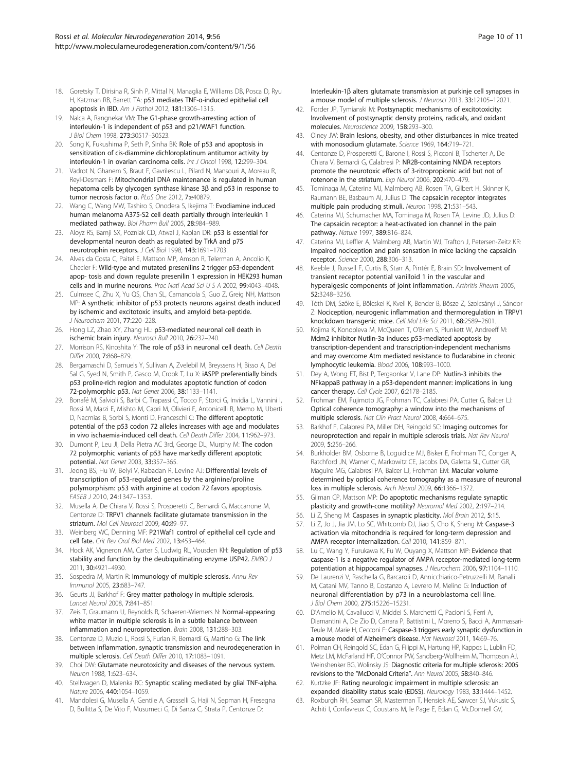- <span id="page-9-0"></span>18. Goretsky T, Dirisina R, Sinh P, Mittal N, Managlia E, Williams DB, Posca D, Ryu H, Katzman RB, Barrett TA: p53 mediates TNF-α-induced epithelial cell apoptosis in IBD. Am J Pathol 2012, 181:1306–1315.
- 19. Nalca A, Rangnekar VM: The G1-phase growth-arresting action of interleukin-1 is independent of p53 and p21/WAF1 function. J Biol Chem 1998, 273:30517–30523.
- 20. Song K, Fukushima P, Seth P, Sinha BK: Role of p53 and apoptosis in sensitization of cis-diammine dichloroplatinum antitumor activity by interleukin-1 in ovarian carcinoma cells. Int J Oncol 1998, 12:299–304.
- 21. Vadrot N, Ghanem S, Braut F, Gavrilescu L, Pilard N, Mansouri A, Moreau R, Reyl-Desmars F: Mitochondrial DNA maintenance is regulated in human hepatoma cells by glycogen synthase kinase 3β and p53 in response to tumor necrosis factor α. PLoS One 2012, 7:e40879.
- 22. Wang C, Wang MW, Tashiro S, Onodera S, Ikejima T: Evodiamine induced human melanoma A375-S2 cell death partially through interleukin 1 mediated pathway. Biol Pharm Bull 2005, 28:984–989.
- 23. Aloyz RS, Bamji SX, Pozniak CD, Atwal J, Kaplan DR: p53 is essential for developmental neuron death as regulated by TrkA and p75 neurotrophin receptors. J Cell Biol 1998, 143:1691–1703.
- 24. Alves da Costa C, Paitel E, Mattson MP, Amson R, Telerman A, Ancolio K, Checler F: Wild-type and mutated presenilins 2 trigger p53-dependent apop- tosis and down regulate presenilin 1 expression in HEK293 human cells and in murine neurons. Proc Natl Acad Sci U S A 2002, 99:4043–4048.
- 25. Culmsee C, Zhu X, Yu QS, Chan SL, Camandola S, Guo Z, Greig NH, Mattson MP: A synthetic inhibitor of p53 protects neurons against death induced by ischemic and excitotoxic insults, and amyloid beta-peptide. J Neurochem 2001, 77:220–228.
- 26. Hong LZ, Zhao XY, Zhang HL: p53-mediated neuronal cell death in ischemic brain injury. Neurosci Bull 2010, 26:232–240.
- 27. Morrison RS, Kinoshita Y: The role of p53 in neuronal cell death. Cell Death Differ 2000, 7:868–879.
- 28. Bergamaschi D, Samuels Y, Sullivan A, Zvelebil M, Breyssens H, Bisso A, Del Sal G, Syed N, Smith P, Gasco M, Crook T, Lu X: iASPP preferentially binds p53 proline-rich region and modulates apoptotic function of codon 72-polymorphic p53. Nat Genet 2006, 38:1133–1141.
- 29. Bonafé M, Salvioli S, Barbi C, Trapassi C, Tocco F, Storci G, Invidia L, Vannini I, Rossi M, Marzi E, Mishto M, Capri M, Olivieri F, Antonicelli R, Memo M, Uberti D, Nacmias B, Sorbi S, Monti D, Franceschi C: The different apoptotic potential of the p53 codon 72 alleles increases with age and modulates in vivo ischaemia-induced cell death. Cell Death Differ 2004, 11:962-973.
- 30. Dumont P, Leu JI, Della Pietra AC 3rd, George DL, Murphy M: The codon 72 polymorphic variants of p53 have markedly different apoptotic potential. Nat Genet 2003, 33:357–365.
- 31. Jeong BS, Hu W, Belyi V, Rabadan R, Levine AJ: Differential levels of transcription of p53-regulated genes by the arginine/proline polymorphism: p53 with arginine at codon 72 favors apoptosis. FASEB J 2010, 24:1347–1353.
- 32. Musella A, De Chiara V, Rossi S, Prosperetti C, Bernardi G, Maccarrone M, Centonze D: TRPV1 channels facilitate glutamate transmission in the striatum. Mol Cell Neurosci 2009, 40:89-97.
- 33. Weinberg WC, Denning MF: P21Waf1 control of epithelial cell cycle and cell fate. Crit Rev Oral Biol Med 2002, 13:453–464.
- 34. Hock AK, Vigneron AM, Carter S, Ludwig RL, Vousden KH: Regulation of p53 stability and function by the deubiquitinating enzyme USP42. EMBO J 2011, 30:4921–4930.
- 35. Sospedra M, Martin R: Immunology of multiple sclerosis. Annu Rev Immunol 2005, 23:683–747.
- 36. Geurts JJ, Barkhof F: Grey matter pathology in multiple sclerosis. Lancet Neurol 2008, 7:841–851.
- 37. Zeis T, Graumann U, Reynolds R, Schaeren-Wiemers N: Normal-appearing white matter in multiple sclerosis is in a subtle balance between inflammation and neuroprotection. Brain 2008, 131:288–303.
- 38. Centonze D, Muzio L, Rossi S, Furlan R, Bernardi G, Martino G: The link between inflammation, synaptic transmission and neurodegeneration in multiple sclerosis. Cell Death Differ 2010, 17:1083–1091.
- 39. Choi DW: Glutamate neurotoxicity and diseases of the nervous system. Neuron 1988, 1:623–634.
- 40. Stellwagen D, Malenka RC: Synaptic scaling mediated by glial TNF-alpha. Nature 2006, 440:1054–1059.
- 41. Mandolesi G, Musella A, Gentile A, Grasselli G, Haji N, Sepman H, Fresegna D, Bullitta S, De Vito F, Musumeci G, Di Sanza C, Strata P, Centonze D:

Interleukin-1β alters glutamate transmission at purkinje cell synapses in a mouse model of multiple sclerosis. J Neurosci 2013, 33:12105–12021.

- 42. Forder JP, Tymianski M: Postsynaptic mechanisms of excitotoxicity: Involvement of postsynaptic density proteins, radicals, and oxidant molecules. Neuroscience 2009, 158:293–300.
- 43. Olney JW: Brain lesions, obesity, and other disturbances in mice treated with monosodium glutamate. Science 1969, 164:719-721.
- 44. Centonze D, Prosperetti C, Barone I, Rossi S, Picconi B, Tscherter A, De Chiara V, Bernardi G, Calabresi P: NR2B-containing NMDA receptors promote the neurotoxic effects of 3-ritropropionic acid but not of rotenone in the striatum. Exp Neurol 2006, 202:470–479.
- 45. Tominaga M, Caterina MJ, Malmberg AB, Rosen TA, Gilbert H, Skinner K, Raumann BE, Basbaum AI, Julius D: The capsaicin receptor integrates multiple pain producing stimuli. Neuron 1998, 21:531–543.
- 46. Caterina MJ, Schumacher MA, Tominaga M, Rosen TA, Levine JD, Julius D: The capsaicin receptor: a heat-activated ion channel in the pain pathway. Nature 1997, 389:816–824.
- 47. Caterina MJ, Leffler A, Malmberg AB, Martin WJ, Trafton J, Petersen-Zeitz KR: Impaired nociception and pain sensation in mice lacking the capsaicin receptor. Science 2000, 288:306–313.
- 48. Keeble J, Russell F, Curtis B, Starr A, Pintér E, Brain SD: Involvement of transient receptor potential vanilloid 1 in the vascular and hyperalgesic components of joint inflammation. Arthritis Rheum 2005, 52:3248–3256.
- 49. Tóth DM, Szőke E, Bölcskei K, Kvell K, Bender B, Bősze Z, Szolcsányi J, Sándor Z: Nociception, neurogenic inflammation and thermoregulation in TRPV1 knockdown transgenic mice. Cell Mol Life Sci 2011, 68:2589–2601.
- 50. Kojima K, Konopleva M, McQueen T, O'Brien S, Plunkett W, Andreeff M: Mdm2 inhibitor Nutlin-3a induces p53-mediated apoptosis by transcription-dependent and transcription-independent mechanisms and may overcome Atm mediated resistance to fludarabine in chronic lymphocytic leukemia. Blood 2006, 108:993–1000.
- 51. Dey A, Wong ET, Bist P, Tergaonkar V, Lane DP: Nutlin-3 inhibits the NFkappaB pathway in a p53-dependent manner: implications in lung cancer therapy. Cell Cycle 2007, 6:2178-2185.
- 52. Frohman EM, Fujimoto JG, Frohman TC, Calabresi PA, Cutter G, Balcer LJ: Optical coherence tomography: a window into the mechanisms of multiple sclerosis. Nat Clin Pract Neurol 2008, 4:664–675.
- 53. Barkhof F, Calabresi PA, Miller DH, Reingold SC: Imaging outcomes for neuroprotection and repair in multiple sclerosis trials. Nat Rev Neurol 2009, 5:256–266.
- 54. Burkholder BM, Osborne B, Loguidice MJ, Bisker E, Frohman TC, Conger A, Ratchford JN, Warner C, Markowitz CE, Jacobs DA, Galetta SL, Cutter GR, Maguire MG, Calabresi PA, Balcer LJ, Frohman EM: Macular volume determined by optical coherence tomography as a measure of neuronal loss in multiple sclerosis. Arch Neurol 2009, 66:1366–1372.
- 55. Gilman CP, Mattson MP: Do apoptotic mechanisms regulate synaptic plasticity and growth-cone motility? Neuromol Med 2002, 2:197–214.
- 56. Li Z, Sheng M: Caspases in synaptic plasticity. Mol Brain 2012, 5:15.
- 57. Li Z, Jo J, Jia JM, Lo SC, Whitcomb DJ, Jiao S, Cho K, Sheng M: Caspase-3 activation via mitochondria is required for long-term depression and AMPA receptor internalization. Cell 2010, 141:859–871.
- 58. Lu C, Wang Y, Furukawa K, Fu W, Ouyang X, Mattson MP: Evidence that caspase-1 is a negative regulator of AMPA receptor-mediated long-term potentiation at hippocampal synapses. J Neurochem 2006, 97:1104–1110.
- 59. De Laurenzi V, Raschella G, Barcaroli D, Annicchiarico-Petruzzelli M, Ranalli M, Catani MV, Tanno B, Costanzo A, Levrero M, Melino G: Induction of neuronal differentiation by p73 in a neuroblastoma cell line. J Biol Chem 2000, 275:15226–15231.
- 60. D'Amelio M, Cavallucci V, Middei S, Marchetti C, Pacioni S, Ferri A, Diamantini A, De Zio D, Carrara P, Battistini L, Moreno S, Bacci A, Ammassari-Teule M, Marie H, Cecconi F: Caspase-3 triggers early synaptic dysfunction in a mouse model of Alzheimer's disease. Nat Neurosci 2011, 14:69–76.
- 61. Polman CH, Reingold SC, Edan G, Filippi M, Hartung HP, Kappos L, Lublin FD, Metz LM, McFarland HF, O'Connor PW, Sandberg-Wollheim M, Thompson AJ, Weinshenker BG, Wolinsky JS: Diagnostic criteria for multiple sclerosis: 2005 revisions to the "McDonald Criteria". Ann Neurol 2005, 58:840–846.
- 62. Kurtzke JF: Rating neurologic impairment in multiple sclerosis: an expanded disability status scale (EDSS). Neurology 1983, 33:1444–1452.
- 63. Roxburgh RH, Seaman SR, Masterman T, Hensiek AE, Sawcer SJ, Vukusic S, Achiti I, Confavreux C, Coustans M, le Page E, Edan G, McDonnell GV,